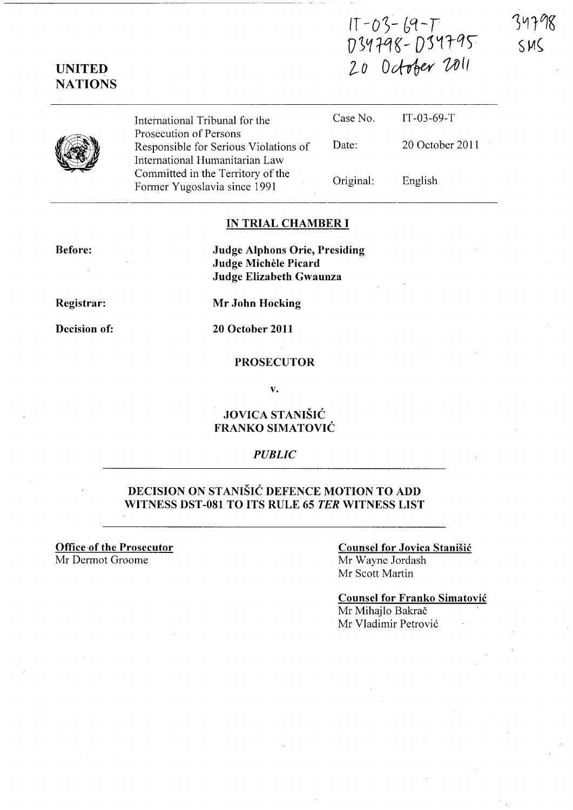$IT - 03 - 69 - T$ D34798-D34795  $20$  October 2011

 $SM<$ 

# UNITED NATIONS

International Tribunal for the Prosecution of Persons Responsible for Serious Violations of International Humanitarian Law Committed in the Territory of the Former Yugoslavia since 1991

| Case No.  | $IT-03-69-T$    |
|-----------|-----------------|
| Date:     | 20 October 2011 |
| Original: | English         |

### IN TRIAL CHAMBER I

Before:

Judge Alphons Orie, Presiding Judge Michèle Picard Judge Elizabeth Gwaunza

Registrar:

Mr John Hocking

Decision of:

20 October 2011

### PROSECUTOR

v.

### JOVICA STANISIC FRANKO SIMATOVIC

### *PUBLIC*

## DECISION ON STANISIC DEFENCE MOTION TO ADD WITNESS DST -081 TO ITS RULE 65 *TER* WITNESS LIST

Office of the Prosecutor Mr Dermot Groome

#### Counsel for Jovica Stanisic Mr Wayne lordash Mr Scott Martin

Counsel for Franko Simatovic Mr Mihajlo Bakrač Mr Vladimir Petrović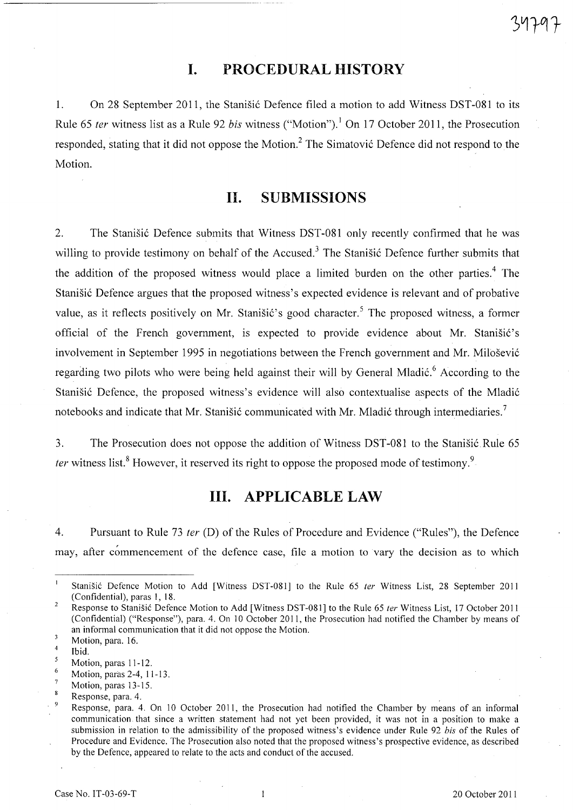# **I. PROCEDURAL HISTORY**

1. On 28 September 2011, the Stanisic Defence filed a motion to add Witness DST-081 to its Rule 65 ter witness list as a Rule 92 bis witness ("Motion").<sup>1</sup> On 17 October 2011, the Prosecution responded, stating that it did not oppose the Motion.<sup>2</sup> The Simatović Defence did not respond to the Motion.

# **11. SUBMISSIONS**

2. The Stanišić Defence submits that Witness DST-081 only recently confirmed that he was willing to provide testimony on behalf of the Accused.<sup>3</sup> The Stanistic Defence further submits that the addition of the proposed witness would place a limited burden on the other parties.<sup>4</sup> The Stanišić Defence argues that the proposed witness's expected evidence is relevant and of probative value, as it reflects positively on Mr. Stanišić's good character.<sup>5</sup> The proposed witness, a former official of the French government, is expected to provide evidence about Mr. Stanišić's involvement in September 1995 in negotiations between the French government and Mr. Milošević regarding two pilots who were being held against their will by General Mladić.<sup>6</sup> According to the Stanišić Defence, the proposed witness's evidence will also contextualise aspects of the Mladić notebooks and indicate that Mr. Stanišić communicated with Mr. Mladić through intermediaries.<sup>7</sup>

3. The Prosecution does not oppose the addition of Witness DST-081 to the Stanisic Rule 65 *ter* witness list.<sup>8</sup> However, it reserved its right to oppose the proposed mode of testimony.<sup>9</sup>

# **Ill. APPLICABLE LAW**

4. Pursuant to Rule 73 *ter* (D) of the Rules of Procedure and Evidence ("Rules"), the Defence may, after commencement of the defence case, file a motion to vary the decision as to which

6 Motion, paras 2-4, 11-13.

 $\mathbf{I}$ Stanišić Defence Motion to Add [Witness DST-081] to the Rule 65 ter Witness List, 28 September 2011 (Confidential), paras I, 18.

<sup>2</sup>  Response to Stanišić Defence Motion to Add [Witness DST-081] to the Rule 65 ter Witness List, 17 October 2011 (Confidential) ("Response"), para. 4. On 10 October 2011, the Prosecution had notified the Chamber by means of an informal communication that it did not oppose the Motion.  $\overline{\mathbf{3}}$ 

Motion, para. 16.

<sup>4</sup>  Ibid.

 $\overline{\mathbf{5}}$ Motion, paras 11-12.

Motion, paras 13-15.

Response, para. 4. .

Response, para. 4. On lO October 2011, the Prosecution had notified the Chamber by means of an informal communication that since a written statement had not yet been provided, it was not in a position to make a submission in relation to the admissibility of the proposed witness's evidence under Rule 92 *his* of the Rules of Procedure and Evidence. The Prosecution also noted that the proposed witness's prospective evidence, as described by the Defence, appeared to relate to the acts and conduct of the accused.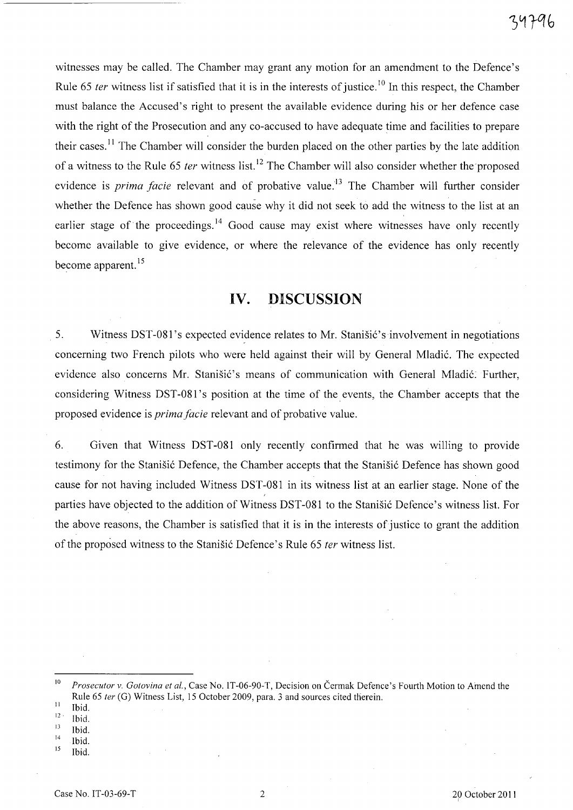witnesses may be called. The Chamber may grant any motion for an amendment to the Defence's Rule 65 *ter* witness list if satisfied that it is in the interests of justice.<sup>10</sup> In this respect, the Chamber must balance the Accused's right to present the available evidence during his or her defence case with the right of the Prosecution and any co-accused to have adequate time and facilities to prepare their cases.<sup>11</sup> The Chamber will consider the burden placed on the other parties by the late addition of a witness to the Rule 65 *ter* witness list.<sup>12</sup> The Chamber will also consider whether the proposed evidence is *prima facie* relevant and of probative value.<sup>13</sup> The Chamber will further consider whether the Defence has shown good cause why it did not seek to add the witness to the list at an earlier stage of the proceedings.<sup>14</sup> Good cause may exist where witnesses have only recently become available to give evidence, or where the relevance of the evidence has only recently become apparent.<sup>15</sup>

## **IV. DISCUSSION**

5. Witness DST-081's expected evidence relates to Mr. Stanišić's involvement in negotiations concerning two French pilots who were held against their will by General Mladić. The expected evidence also concerns Mr. Stanišić's means of communication with General Mladić. Further, considering Witness DST-081's position at the time of the events, the Chamber accepts that the proposed evidence is *prima facie* relevant and of probative value.

6. Given that Witness DST -081 only recently confirmed that he was willing to provide testimony for the Stanišić Defence, the Chamber accepts that the Stanišić Defence has shown good cause for not having included Witness DST -081 in its witness list at an earlier stage. None of the parties have objected to the addition of Witness DST-081 to the Stanišić Defence's witness list. For the above reasons, the Chamber is satisfied that it is in the interests of justice to grant the addition of the proposed witness to the Stanišić Defence's Rule 65 *ter* witness list.

- $\frac{13}{14}$  Ibid.
- $\frac{14}{15}$  Ibid.
- Ibid.

<sup>&</sup>lt;sup>10</sup> Prosecutor v. *Gotovina et al.*, Case No. 1T-06-90-T, Decision on Čermak Defence's Fourth Motion to Amend the Rule 65 *ter* (G) Witness List, 15 October 2009, para. 3 and sources cited therein.

 $\frac{11}{12}$  Ibid.

 $\frac{12}{13}$  Ibid.